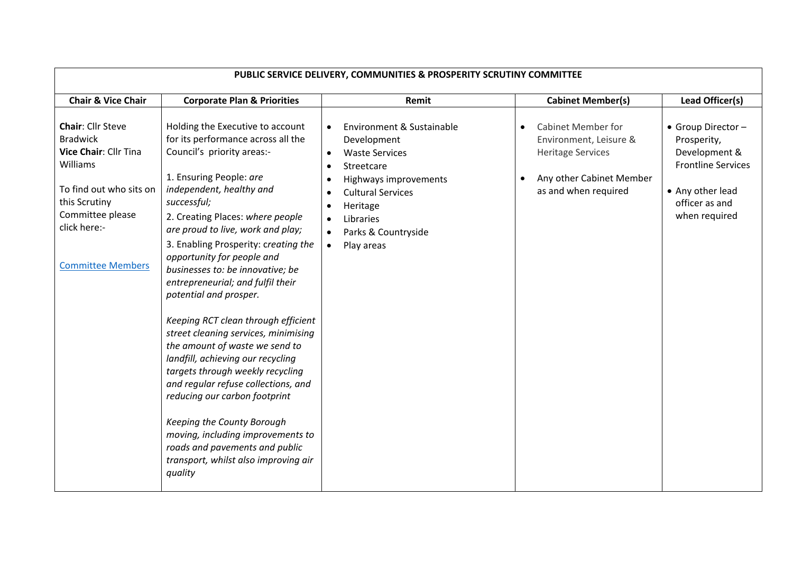| PUBLIC SERVICE DELIVERY, COMMUNITIES & PROSPERITY SCRUTINY COMMITTEE                                                                                                                         |                                                                                                                                                                                                                                                                                                                                                                                                                                                                                                                                                                                                                                                                                                                                                                                                                                                        |                                                                                                                                                                                                                                           |                                                                                                                                                  |                                                                                                                                        |  |  |  |
|----------------------------------------------------------------------------------------------------------------------------------------------------------------------------------------------|--------------------------------------------------------------------------------------------------------------------------------------------------------------------------------------------------------------------------------------------------------------------------------------------------------------------------------------------------------------------------------------------------------------------------------------------------------------------------------------------------------------------------------------------------------------------------------------------------------------------------------------------------------------------------------------------------------------------------------------------------------------------------------------------------------------------------------------------------------|-------------------------------------------------------------------------------------------------------------------------------------------------------------------------------------------------------------------------------------------|--------------------------------------------------------------------------------------------------------------------------------------------------|----------------------------------------------------------------------------------------------------------------------------------------|--|--|--|
| <b>Chair &amp; Vice Chair</b>                                                                                                                                                                | <b>Corporate Plan &amp; Priorities</b>                                                                                                                                                                                                                                                                                                                                                                                                                                                                                                                                                                                                                                                                                                                                                                                                                 | Remit                                                                                                                                                                                                                                     | <b>Cabinet Member(s)</b>                                                                                                                         | Lead Officer(s)                                                                                                                        |  |  |  |
| <b>Chair: Cllr Steve</b><br><b>Bradwick</b><br>Vice Chair: Cllr Tina<br>Williams<br>To find out who sits on<br>this Scrutiny<br>Committee please<br>click here:-<br><b>Committee Members</b> | Holding the Executive to account<br>for its performance across all the<br>Council's priority areas:-<br>1. Ensuring People: are<br>independent, healthy and<br>successful;<br>2. Creating Places: where people<br>are proud to live, work and play;<br>3. Enabling Prosperity: creating the<br>opportunity for people and<br>businesses to: be innovative; be<br>entrepreneurial; and fulfil their<br>potential and prosper.<br>Keeping RCT clean through efficient<br>street cleaning services, minimising<br>the amount of waste we send to<br>landfill, achieving our recycling<br>targets through weekly recycling<br>and regular refuse collections, and<br>reducing our carbon footprint<br>Keeping the County Borough<br>moving, including improvements to<br>roads and pavements and public<br>transport, whilst also improving air<br>quality | Environment & Sustainable<br>$\bullet$<br>Development<br><b>Waste Services</b><br>Streetcare<br>Highways improvements<br><b>Cultural Services</b><br>Heritage<br>Libraries<br>$\bullet$<br>Parks & Countryside<br>Play areas<br>$\bullet$ | <b>Cabinet Member for</b><br>$\bullet$<br>Environment, Leisure &<br><b>Heritage Services</b><br>Any other Cabinet Member<br>as and when required | • Group Director -<br>Prosperity,<br>Development &<br><b>Frontline Services</b><br>• Any other lead<br>officer as and<br>when required |  |  |  |